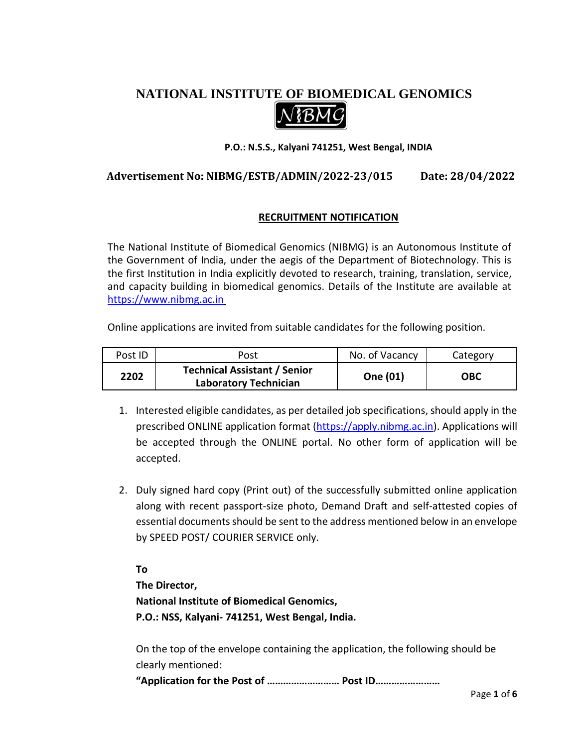# **NATIONAL INSTITUTE OF BIOMEDICAL GENOMICS**



#### **P.O.: N.S.S., Kalyani 741251, West Bengal, INDIA**

# **Advertisement No: NIBMG/ESTB/ADMIN/2022-23/015 Date: 28/04/2022**

#### **RECRUITMENT NOTIFICATION**

The National Institute of Biomedical Genomics (NIBMG) is an Autonomous Institute of the Government of India, under the aegis of the Department of Biotechnology. This is the first Institution in India explicitly devoted to research, training, translation, service, and capacity building in biomedical genomics. Details of the Institute are available at [https://www.nibmg.ac.in](https://www.nibmg.ac.in/)

Online applications are invited from suitable candidates for the following position.

| Post ID | Post                                                                | No. of Vacancy | Category |
|---------|---------------------------------------------------------------------|----------------|----------|
| 2202    | <b>Technical Assistant / Senior</b><br><b>Laboratory Technician</b> | One (01)       | ОВС      |

- 1. Interested eligible candidates, as per detailed job specifications, should apply in the prescribed ONLINE application format [\(https://apply.nibmg.ac.in\)](https://apply.nibmg.ac.in/). Applications will be accepted through the ONLINE portal. No other form of application will be accepted.
- 2. Duly signed hard copy (Print out) of the successfully submitted online application along with recent passport-size photo, Demand Draft and self-attested copies of essential documents should be sent to the address mentioned below in an envelope by SPEED POST/ COURIER SERVICE only.

**To The Director, National Institute of Biomedical Genomics, P.O.: NSS, Kalyani- 741251, West Bengal, India.** 

On the top of the envelope containing the application, the following should be clearly mentioned:

**"Application for the Post of ……………………… Post ID……………………**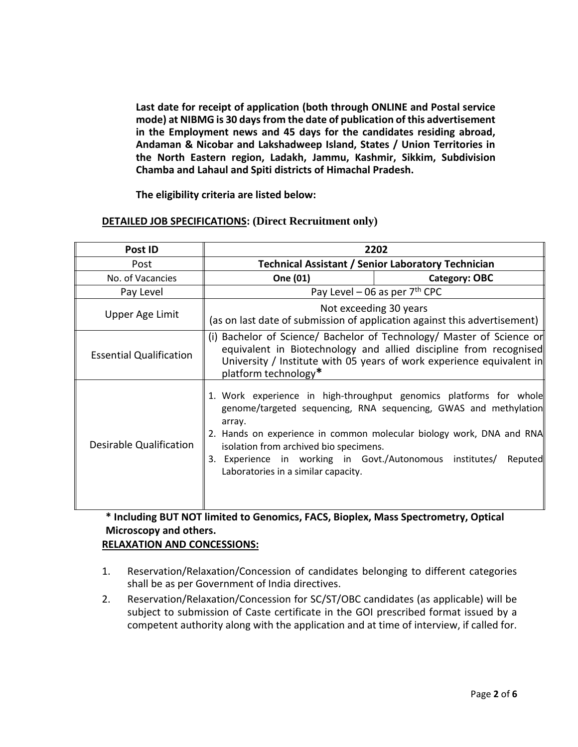**Last date for receipt of application (both through ONLINE and Postal service mode) at NIBMG is 30 days from the date of publication of this advertisement in the Employment news and 45 days for the candidates residing abroad, Andaman & Nicobar and Lakshadweep Island, States / Union Territories in the North Eastern region, Ladakh, Jammu, Kashmir, Sikkim, Subdivision Chamba and Lahaul and Spiti districts of Himachal Pradesh.**

**The eligibility criteria are listed below:**

#### **DETAILED JOB SPECIFICATIONS: (Direct Recruitment only)**

| Post ID                        | 2202                                                                                                                                                                                                                                        |                                                                                                                                                                                                                           |  |
|--------------------------------|---------------------------------------------------------------------------------------------------------------------------------------------------------------------------------------------------------------------------------------------|---------------------------------------------------------------------------------------------------------------------------------------------------------------------------------------------------------------------------|--|
| Post                           | <b>Technical Assistant / Senior Laboratory Technician</b>                                                                                                                                                                                   |                                                                                                                                                                                                                           |  |
| No. of Vacancies               | One (01)                                                                                                                                                                                                                                    | <b>Category: OBC</b>                                                                                                                                                                                                      |  |
| Pay Level                      | Pay Level – 06 as per $7th$ CPC                                                                                                                                                                                                             |                                                                                                                                                                                                                           |  |
| Upper Age Limit                | Not exceeding 30 years<br>(as on last date of submission of application against this advertisement)                                                                                                                                         |                                                                                                                                                                                                                           |  |
| <b>Essential Qualification</b> | (i) Bachelor of Science/ Bachelor of Technology/ Master of Science or<br>equivalent in Biotechnology and allied discipline from recognised<br>University / Institute with 05 years of work experience equivalent in<br>platform technology* |                                                                                                                                                                                                                           |  |
| Desirable Qualification        | array.<br>isolation from archived bio specimens.<br>3. Experience in working in Govt./Autonomous institutes/<br>Laboratories in a similar capacity.                                                                                         | 1. Work experience in high-throughput genomics platforms for whole<br>genome/targeted sequencing, RNA sequencing, GWAS and methylation<br>2. Hands on experience in common molecular biology work, DNA and RNA<br>Reputed |  |

# **\* Including BUT NOT limited to Genomics, FACS, Bioplex, Mass Spectrometry, Optical Microscopy and others.**

## **RELAXATION AND CONCESSIONS:**

- 1. Reservation/Relaxation/Concession of candidates belonging to different categories shall be as per Government of India directives.
- 2. Reservation/Relaxation/Concession for SC/ST/OBC candidates (as applicable) will be subject to submission of Caste certificate in the GOI prescribed format issued by a competent authority along with the application and at time of interview, if called for.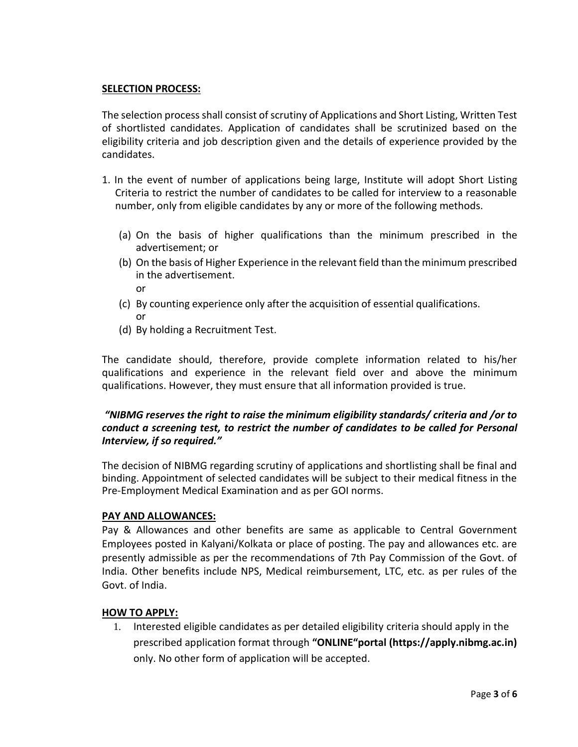#### **SELECTION PROCESS:**

The selection process shall consist of scrutiny of Applications and Short Listing, Written Test of shortlisted candidates. Application of candidates shall be scrutinized based on the eligibility criteria and job description given and the details of experience provided by the candidates.

- 1. In the event of number of applications being large, Institute will adopt Short Listing Criteria to restrict the number of candidates to be called for interview to a reasonable number, only from eligible candidates by any or more of the following methods.
	- (a) On the basis of higher qualifications than the minimum prescribed in the advertisement; or
	- (b) On the basis of Higher Experience in the relevant field than the minimum prescribed in the advertisement.

or

- (c) By counting experience only after the acquisition of essential qualifications. or
- (d) By holding a Recruitment Test.

The candidate should, therefore, provide complete information related to his/her qualifications and experience in the relevant field over and above the minimum qualifications. However, they must ensure that all information provided is true.

## *"NIBMG reserves the right to raise the minimum eligibility standards/ criteria and /or to conduct a screening test, to restrict the number of candidates to be called for Personal Interview, if so required."*

The decision of NIBMG regarding scrutiny of applications and shortlisting shall be final and binding. Appointment of selected candidates will be subject to their medical fitness in the Pre-Employment Medical Examination and as per GOI norms.

#### **PAY AND ALLOWANCES:**

Pay & Allowances and other benefits are same as applicable to Central Government Employees posted in Kalyani/Kolkata or place of posting. The pay and allowances etc. are presently admissible as per the recommendations of 7th Pay Commission of the Govt. of India. Other benefits include NPS, Medical reimbursement, LTC, etc. as per rules of the Govt. of India.

#### **HOW TO APPLY:**

1. Interested eligible candidates as per detailed eligibility criteria should apply in the prescribed application format through **"ONLINE"portal (https://apply.nibmg.ac.in)** only. No other form of application will be accepted.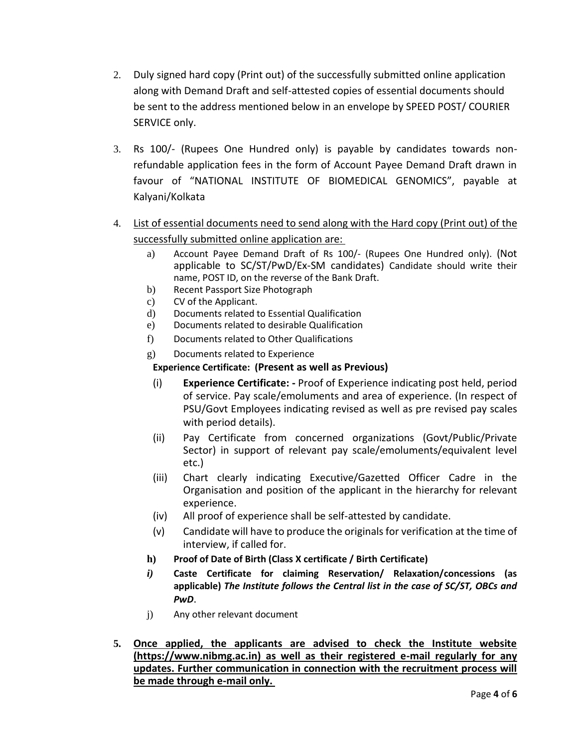- 2. Duly signed hard copy (Print out) of the successfully submitted online application along with Demand Draft and self-attested copies of essential documents should be sent to the address mentioned below in an envelope by SPEED POST/ COURIER SERVICE only.
- 3. Rs 100/- (Rupees One Hundred only) is payable by candidates towards nonrefundable application fees in the form of Account Payee Demand Draft drawn in favour of "NATIONAL INSTITUTE OF BIOMEDICAL GENOMICS", payable at Kalyani/Kolkata
- 4. List of essential documents need to send along with the Hard copy (Print out) of the successfully submitted online application are:
	- a) Account Payee Demand Draft of Rs 100/- (Rupees One Hundred only). (Not applicable to SC/ST/PwD/Ex-SM candidates) Candidate should write their name, POST ID, on the reverse of the Bank Draft.
	- b) Recent Passport Size Photograph
	- c) CV of the Applicant.
	- d) Documents related to Essential Qualification
	- e) Documents related to desirable Qualification
	- f) Documents related to Other Qualifications
	- g) Documents related to Experience

## **Experience Certificate: (Present as well as Previous)**

- (i) **Experience Certificate: -** Proof of Experience indicating post held, period of service. Pay scale/emoluments and area of experience. (In respect of PSU/Govt Employees indicating revised as well as pre revised pay scales with period details).
- (ii) Pay Certificate from concerned organizations (Govt/Public/Private Sector) in support of relevant pay scale/emoluments/equivalent level etc.)
- (iii) Chart clearly indicating Executive/Gazetted Officer Cadre in the Organisation and position of the applicant in the hierarchy for relevant experience.
- (iv) All proof of experience shall be self-attested by candidate.
- (v) Candidate will have to produce the originals for verification at the time of interview, if called for.
- **h) Proof of Date of Birth (Class X certificate / Birth Certificate)**
- *i)* **Caste Certificate for claiming Reservation/ Relaxation/concessions (as applicable)** *The Institute follows the Central list in the case of SC/ST, OBCs and PwD*.
- j) Any other relevant document
- **5. Once applied, the applicants are advised to check the Institute website (https://www.nibmg.ac.in) as well as their registered e-mail regularly for any updates. Further communication in connection with the recruitment process will be made through e-mail only.**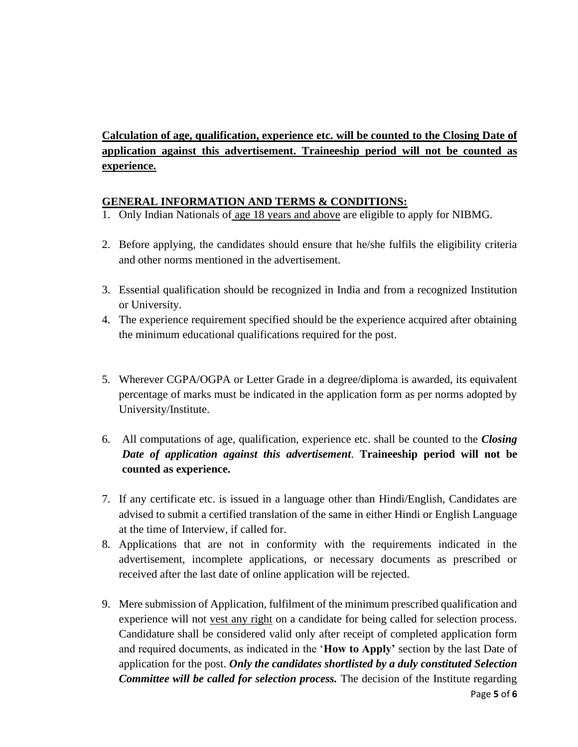**Calculation of age, qualification, experience etc. will be counted to the Closing Date of application against this advertisement. Traineeship period will not be counted as experience.**

## **GENERAL INFORMATION AND TERMS & CONDITIONS:**

- 1. Only Indian Nationals of age 18 years and above are eligible to apply for NIBMG.
- 2. Before applying, the candidates should ensure that he/she fulfils the eligibility criteria and other norms mentioned in the advertisement.
- 3. Essential qualification should be recognized in India and from a recognized Institution or University.
- 4. The experience requirement specified should be the experience acquired after obtaining the minimum educational qualifications required for the post.
- 5. Wherever CGPA/OGPA or Letter Grade in a degree/diploma is awarded, its equivalent percentage of marks must be indicated in the application form as per norms adopted by University/Institute.
- 6. All computations of age, qualification, experience etc. shall be counted to the *Closing Date of application against this advertisement*. **Traineeship period will not be counted as experience.**
- 7. If any certificate etc. is issued in a language other than Hindi/English, Candidates are advised to submit a certified translation of the same in either Hindi or English Language at the time of Interview, if called for.
- 8. Applications that are not in conformity with the requirements indicated in the advertisement, incomplete applications, or necessary documents as prescribed or received after the last date of online application will be rejected.
- 9. Mere submission of Application, fulfilment of the minimum prescribed qualification and experience will not vest any right on a candidate for being called for selection process. Candidature shall be considered valid only after receipt of completed application form and required documents, as indicated in the '**How to Apply'** section by the last Date of application for the post. *Only the candidates shortlisted by a duly constituted Selection Committee will be called for selection process.* The decision of the Institute regarding